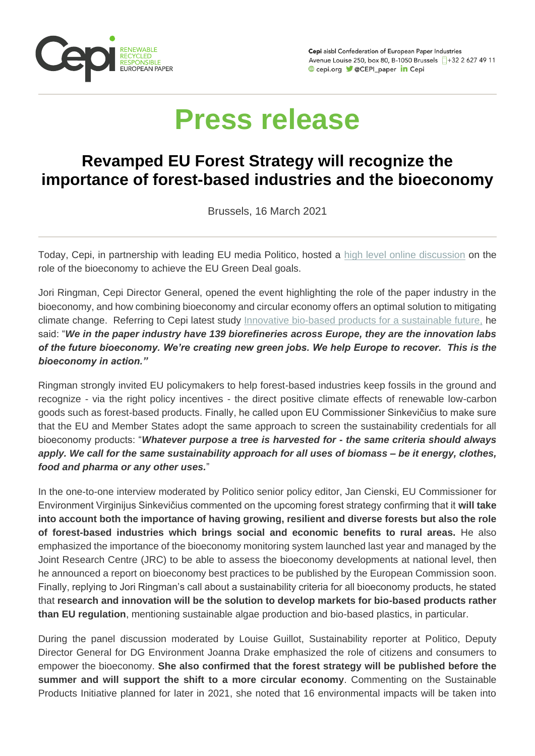

Cepi aisbl Confederation of European Paper Industries Avenue Louise 250, box 80, B-1050 Brussels 1+32 2 627 49 11 Cepi.org CEPI\_paper in Cepi

## **Press release**

## **Revamped EU Forest Strategy will recognize the importance of forest-based industries and the bioeconomy**

Brussels, 16 March 2021

Today, Cepi, in partnership with leading EU media Politico, hosted a [high level online discussion](http://link.mediaoutreach.meltwater.com/ls/click?upn=9yRiLGj81XRztwWkjA4naiYAKkzv7U8-2BKMBKsk6ChZu1cg-2B4-2B7dLkdm-2BVR7rCenleNiVB-2FY29CkFLKtowcFM8aJWPkf2fMjtpj-2BkNSLFJ9mR9HYguWG8AoXc-2FpBgOHoCi9a30J0b6tGUvLm31c4PUb9cpMLibfUYns2B3-2F-2FDDGvMiulcMW7OAkHTDolDmnLuomo887AN5TrjBh43XDQtZUKl429KtzQNj5Um9vztHjF-2FlHisqh5KYKaxHyL4VO8-2BEh1CMesAaCknYeqiLT6SFeEasMALvL5niIHQItOn1Kt6d-2Bz2ceD-2FQXi3E5fCRIc559hyzl4tZpT1Y-2F8-2BoLqCpST1ygvFNBPgSGgIgTCdW0HZBnca-2BEeYtIiwjdOHUHkuEfoOeYukYpYousSi0nA6kP1upAlZMFbWYdspdvIlnWAyCqD6L43vHUTF3jyyKKO1rTTAbAja1o6-2FuqvbHv0nph8rinL-2Bd0t11IaE9ylH6-2Bmt2iCIURj-2BtQhHTfmrmRhcpL3Z8o4Lu1GjkB2ImHazCi8MoR-2BogflJUZVrTxeCqtltj30VLNA5spywu26lUQY5bUzRNzWdniaIpawyraEt-2BHMZXT77l-2FXApSvMOlAb-2BKq5iIkA5sDyEYjtwAbhRsqwxsHEpSNmLDo7YnERbcwgFXolFSlRpwtQ2z1sNAsV53HqZtlvKOLmLLsch5Tzy-2F9U0iLRgahlkedfZ57eUOrNqCLNZg07Rpw1c3TyyRhvltbtUCj4tgqX0uh5zY9uXOJflk9XAba014pHouBLVl1IzOA0-2F9g8aAwd1sFUbt-2BjAcIHQ6Yi1iC65LMxQ1TPnztgoLgI3HW5q4c2oMIbKSE0yQ-3D-3D7lKP_m-2FsgexGpXRuQphl-2F9JAemhktjKmQcJ41L1gGSBwABAmDSQK3o8Pq8mrEDpackSmIiJ6PHz3MIRFD5vq5KrFGtjVxCWT-2BH-2FDKqImiBEVWCN2VvgiGxvi5s-2BRwMcqpjOHIB-2FjkaUiZCo6KU025cXHlexnTKd3bXwgwqvywHAp9GSuWX-2BH2UX1ktEFufVeGDGLl-2BN7Ab99tJuQgo2b15O8kp3NodvnGI6v4DfMvgy-2Bd7lM2E2WJIGigPOi-2FqWgXPn6ORnCgXnYoDYC8XQqmJ5xdVpnhU1KWcAlKmvfS5DKze3Q4de65limAJujy93GZP5S-2F8dHqeTn5sMRSXydDC9PIn3St3myLDb9u0vrK08-2FVx3gSNyOCcbUMmdYRTLtgwVkaHNFeszbi3XJPsRAEtB1MzQ-3D-3D) on the role of the bioeconomy to achieve the EU Green Deal goals.

Jori Ringman, Cepi Director General, opened the event highlighting the role of the paper industry in the bioeconomy, and how combining bioeconomy and circular economy offers an optimal solution to mitigating climate change. Referring to Cepi latest study [Innovative bio-based products for a sustainable future,](http://link.mediaoutreach.meltwater.com/ls/click?upn=9yRiLGj81XRztwWkjA4naiYAKkzv7U8-2BKMBKsk6ChZu1cg-2B4-2B7dLkdm-2BVR7rCenleNiVB-2FY29CkFLKtowcFM8aJWPkf2fMjtpj-2BkNSLFJ9lLNS49zJCKbG79S-2FEdBbelqZbgTA-2B8APTMAw23Lp46ex1OGL9dJGOoQGxmatZxP3W2C-2BKZ3RT3Gd6lLC-2Bvzen7j7r9pu8kz0PerAW0r4bdXezLdhM20An3Fvo0v3ZOMJtculZYwevIEVp-2FsFkszCmYbwSV-2BCHEZWlibfKtANMYwmSwcabZtXG-2BKQm5-2BCk6jCwFtnx0O4asueyZpVzIKZ5fgz-2FFE9n5w7C1SH0ulOkL0igH0jx1uIXktCeHJxH3pcg5DkXUhd8TGxsX73dK8PUA-2B4nw23vqxALHYht8GnLWNhk-2F8qok9gUjLFesHF2KaoqDlFMAqnmjZsulw7U3jEo-2FwLTtABKj7r0aNN-2FGszZGD2nQvYlY5y2ppkFg9PfRFXUYcA2UwF5FXYSFYCLaJNUh-2F9ERsKb2pI-2BQVFeT4pS4aS2VjR3NA04s59W8mkUwz5girmQfExQu1seB8-2FFFKkIovku0I7qnP9pQtNNYUtidB6yBBIxO7ALw2OTV1IId2thF6iQY-2FJezD2lbmi5iPlEfwE8c2-2FDdf-2FnD73KVpif3z6R-2F6MIYlvBHgggwUMrDEeSFWvudx3daR-2FWnMmyoo9a7V99gnygRC7rUMM366GspwpgH8BOf-2FlYc-2B3Im2X-2FvjY7F9VbEWtDr01-2FSdR16UospmrOUZBMrkYVpsdnUAGbTj5KnQWzXxqByND-2FbW68U630psPL6FVka2qcOpeZ1RwTsJz-2FyExVw8dwr8SumamM-2FqvgE5nGV-2BQGtGTV7f9sh4fQ-3Dm2hE_m-2FsgexGpXRuQphl-2F9JAemhktjKmQcJ41L1gGSBwABAmDSQK3o8Pq8mrEDpackSmIiJ6PHz3MIRFD5vq5KrFGtjVxCWT-2BH-2FDKqImiBEVWCN2VvgiGxvi5s-2BRwMcqpjOHIB-2FjkaUiZCo6KU025cXHlexnTKd3bXwgwqvywHAp9GSuWX-2BH2UX1ktEFufVeGDGLl-2BN7Ab99tJuQgo2b15O8kp3NodvnGI6v4DfMvgy-2Bd7lM9baekAOh67QN1-2BrdzFj67997M6O-2FzTZQOdO-2BFiKW96XR-2FWMkDGHaFoYifcGuB-2FnCxoid9BHGjl2oOrWPZU9sFYYmNJBMgtWkHiY235XwlZdIu7bvm4pDC0Fwm8bMd6IPGrGpOEa7ctnhsrcR7rrxl2pGS-2BHbPv2GnE-2FLB-2FjZF0g-3D-3D) he said: "*We in the paper industry have 139 biorefineries across Europe, they are the innovation labs of the future bioeconomy. We're creating new green jobs. We help Europe to recover. This is the bioeconomy in action."* 

Ringman strongly invited EU policymakers to help forest-based industries keep fossils in the ground and recognize - via the right policy incentives - the direct positive climate effects of renewable low-carbon goods such as forest-based products. Finally, he called upon EU Commissioner Sinkevičius to make sure that the EU and Member States adopt the same approach to screen the sustainability credentials for all bioeconomy products: "*Whatever purpose a tree is harvested for - the same criteria should always apply. We call for the same sustainability approach for all uses of biomass – be it energy, clothes, food and pharma or any other uses.*"

In the one-to-one interview moderated by Politico senior policy editor, Jan Cienski, EU Commissioner for Environment Virginijus Sinkevičius commented on the upcoming forest strategy confirming that it **will take into account both the importance of having growing, resilient and diverse forests but also the role of forest-based industries which brings social and economic benefits to rural areas.** He also emphasized the importance of the bioeconomy monitoring system launched last year and managed by the Joint Research Centre (JRC) to be able to assess the bioeconomy developments at national level, then he announced a report on bioeconomy best practices to be published by the European Commission soon. Finally, replying to Jori Ringman's call about a sustainability criteria for all bioeconomy products, he stated that **research and innovation will be the solution to develop markets for bio-based products rather than EU regulation**, mentioning sustainable algae production and bio-based plastics, in particular.

During the panel discussion moderated by Louise Guillot, Sustainability reporter at Politico, Deputy Director General for DG Environment Joanna Drake emphasized the role of citizens and consumers to empower the bioeconomy. **She also confirmed that the forest strategy will be published before the summer and will support the shift to a more circular economy**. Commenting on the Sustainable Products Initiative planned for later in 2021, she noted that 16 environmental impacts will be taken into